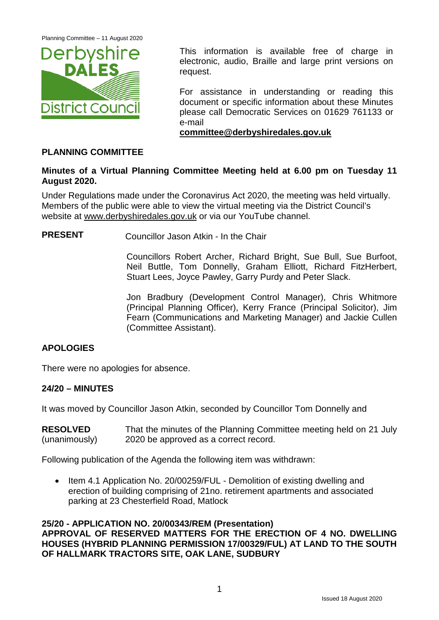

This information is available free of charge in electronic, audio, Braille and large print versions on request.

For assistance in understanding or reading this document or specific information about these Minutes please call Democratic Services on 01629 761133 or e-mail

**[committee@derbyshiredales.gov.uk](mailto:committee@derbyshiredales.gov.uk)**

## **PLANNING COMMITTEE**

## **Minutes of a Virtual Planning Committee Meeting held at 6.00 pm on Tuesday 11 August 2020.**

Under Regulations made under the Coronavirus Act 2020, the meeting was held virtually. Members of the public were able to view the virtual meeting via the District Council's website at [www.derbyshiredales.gov.uk](http://www.derbyshiredales.gov.uk/) or via our YouTube channel.

**PRESENT** Councillor Jason Atkin - In the Chair

Councillors Robert Archer, Richard Bright, Sue Bull, Sue Burfoot, Neil Buttle, Tom Donnelly, Graham Elliott, Richard FitzHerbert, Stuart Lees, Joyce Pawley, Garry Purdy and Peter Slack.

Jon Bradbury (Development Control Manager), Chris Whitmore (Principal Planning Officer), Kerry France (Principal Solicitor), Jim Fearn (Communications and Marketing Manager) and Jackie Cullen (Committee Assistant).

## **APOLOGIES**

There were no apologies for absence.

## **24/20 – MINUTES**

It was moved by Councillor Jason Atkin, seconded by Councillor Tom Donnelly and

| <b>RESOLVED</b> | That the minutes of the Planning Committee meeting held on 21 July |
|-----------------|--------------------------------------------------------------------|
| (unanimously)   | 2020 be approved as a correct record.                              |

Following publication of the Agenda the following item was withdrawn:

• Item 4.1 Application No. 20/00259/FUL - Demolition of existing dwelling and erection of building comprising of 21no. retirement apartments and associated parking at 23 Chesterfield Road, Matlock

#### **25/20 - APPLICATION NO. 20/00343/REM (Presentation)**

**APPROVAL OF RESERVED MATTERS FOR THE ERECTION OF 4 NO. DWELLING HOUSES (HYBRID PLANNING PERMISSION 17/00329/FUL) AT LAND TO THE SOUTH OF HALLMARK TRACTORS SITE, OAK LANE, SUDBURY**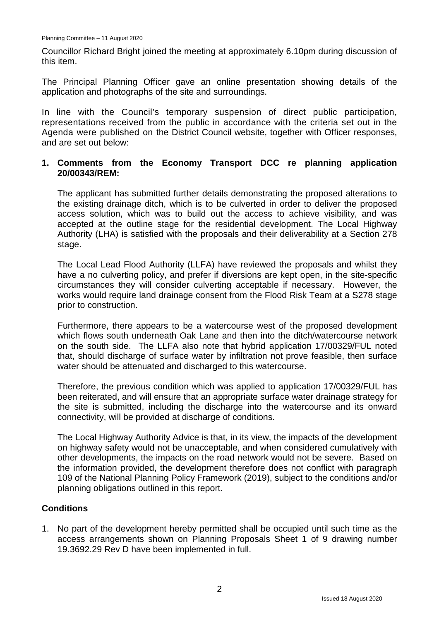Councillor Richard Bright joined the meeting at approximately 6.10pm during discussion of this item.

The Principal Planning Officer gave an online presentation showing details of the application and photographs of the site and surroundings.

In line with the Council's temporary suspension of direct public participation, representations received from the public in accordance with the criteria set out in the Agenda were published on the District Council website, together with Officer responses, and are set out below:

### **1. Comments from the Economy Transport DCC re planning application 20/00343/REM:**

The applicant has submitted further details demonstrating the proposed alterations to the existing drainage ditch, which is to be culverted in order to deliver the proposed access solution, which was to build out the access to achieve visibility, and was accepted at the outline stage for the residential development. The Local Highway Authority (LHA) is satisfied with the proposals and their deliverability at a Section 278 stage.

The Local Lead Flood Authority (LLFA) have reviewed the proposals and whilst they have a no culverting policy, and prefer if diversions are kept open, in the site-specific circumstances they will consider culverting acceptable if necessary. However, the works would require land drainage consent from the Flood Risk Team at a S278 stage prior to construction.

Furthermore, there appears to be a watercourse west of the proposed development which flows south underneath Oak Lane and then into the ditch/watercourse network on the south side. The LLFA also note that hybrid application 17/00329/FUL noted that, should discharge of surface water by infiltration not prove feasible, then surface water should be attenuated and discharged to this watercourse.

Therefore, the previous condition which was applied to application 17/00329/FUL has been reiterated, and will ensure that an appropriate surface water drainage strategy for the site is submitted, including the discharge into the watercourse and its onward connectivity, will be provided at discharge of conditions.

The Local Highway Authority Advice is that, in its view, the impacts of the development on highway safety would not be unacceptable, and when considered cumulatively with other developments, the impacts on the road network would not be severe. Based on the information provided, the development therefore does not conflict with paragraph 109 of the National Planning Policy Framework (2019), subject to the conditions and/or planning obligations outlined in this report.

## **Conditions**

1. No part of the development hereby permitted shall be occupied until such time as the access arrangements shown on Planning Proposals Sheet 1 of 9 drawing number 19.3692.29 Rev D have been implemented in full.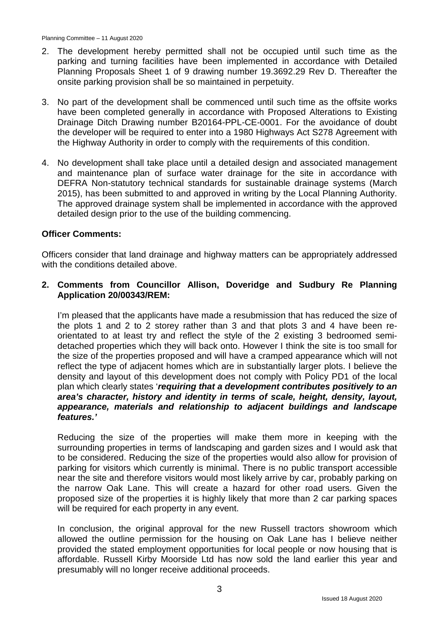- 2. The development hereby permitted shall not be occupied until such time as the parking and turning facilities have been implemented in accordance with Detailed Planning Proposals Sheet 1 of 9 drawing number 19.3692.29 Rev D. Thereafter the onsite parking provision shall be so maintained in perpetuity.
- 3. No part of the development shall be commenced until such time as the offsite works have been completed generally in accordance with Proposed Alterations to Existing Drainage Ditch Drawing number B20164-PPL-CE-0001. For the avoidance of doubt the developer will be required to enter into a 1980 Highways Act S278 Agreement with the Highway Authority in order to comply with the requirements of this condition.
- 4. No development shall take place until a detailed design and associated management and maintenance plan of surface water drainage for the site in accordance with DEFRA Non-statutory technical standards for sustainable drainage systems (March 2015), has been submitted to and approved in writing by the Local Planning Authority. The approved drainage system shall be implemented in accordance with the approved detailed design prior to the use of the building commencing.

## **Officer Comments:**

Officers consider that land drainage and highway matters can be appropriately addressed with the conditions detailed above.

## **2. Comments from Councillor Allison, Doveridge and Sudbury Re Planning Application 20/00343/REM:**

I'm pleased that the applicants have made a resubmission that has reduced the size of the plots 1 and 2 to 2 storey rather than 3 and that plots 3 and 4 have been reorientated to at least try and reflect the style of the 2 existing 3 bedroomed semidetached properties which they will back onto. However I think the site is too small for the size of the properties proposed and will have a cramped appearance which will not reflect the type of adjacent homes which are in substantially larger plots. I believe the density and layout of this development does not comply with Policy PD1 of the local plan which clearly states '*requiring that a development contributes positively to an area's character, history and identity in terms of scale, height, density, layout, appearance, materials and relationship to adjacent buildings and landscape features.'*

Reducing the size of the properties will make them more in keeping with the surrounding properties in terms of landscaping and garden sizes and I would ask that to be considered. Reducing the size of the properties would also allow for provision of parking for visitors which currently is minimal. There is no public transport accessible near the site and therefore visitors would most likely arrive by car, probably parking on the narrow Oak Lane. This will create a hazard for other road users. Given the proposed size of the properties it is highly likely that more than 2 car parking spaces will be required for each property in any event.

In conclusion, the original approval for the new Russell tractors showroom which allowed the outline permission for the housing on Oak Lane has I believe neither provided the stated employment opportunities for local people or now housing that is affordable. Russell Kirby Moorside Ltd has now sold the land earlier this year and presumably will no longer receive additional proceeds.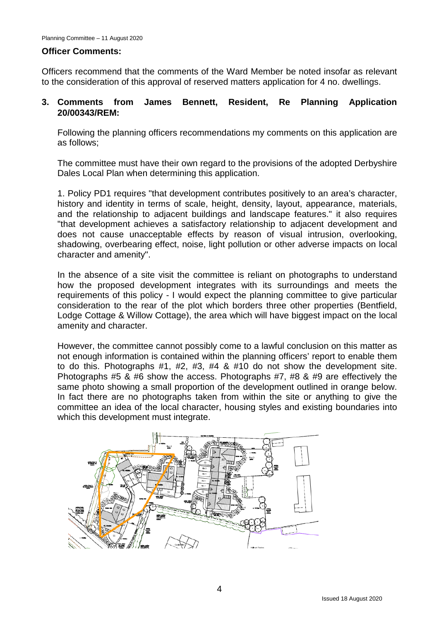#### **Officer Comments:**

Officers recommend that the comments of the Ward Member be noted insofar as relevant to the consideration of this approval of reserved matters application for 4 no. dwellings.

## **3. Comments from James Bennett, Resident, Re Planning Application 20/00343/REM:**

Following the planning officers recommendations my comments on this application are as follows;

The committee must have their own regard to the provisions of the adopted Derbyshire Dales Local Plan when determining this application.

1. Policy PD1 requires "that development contributes positively to an area's character, history and identity in terms of scale, height, density, layout, appearance, materials, and the relationship to adjacent buildings and landscape features." it also requires "that development achieves a satisfactory relationship to adjacent development and does not cause unacceptable effects by reason of visual intrusion, overlooking, shadowing, overbearing effect, noise, light pollution or other adverse impacts on local character and amenity".

In the absence of a site visit the committee is reliant on photographs to understand how the proposed development integrates with its surroundings and meets the requirements of this policy - I would expect the planning committee to give particular consideration to the rear of the plot which borders three other properties (Bentfield, Lodge Cottage & Willow Cottage), the area which will have biggest impact on the local amenity and character.

However, the committee cannot possibly come to a lawful conclusion on this matter as not enough information is contained within the planning officers' report to enable them to do this. Photographs #1, #2, #3, #4 & #10 do not show the development site. Photographs #5 & #6 show the access. Photographs #7, #8 & #9 are effectively the same photo showing a small proportion of the development outlined in orange below. In fact there are no photographs taken from within the site or anything to give the committee an idea of the local character, housing styles and existing boundaries into which this development must integrate.

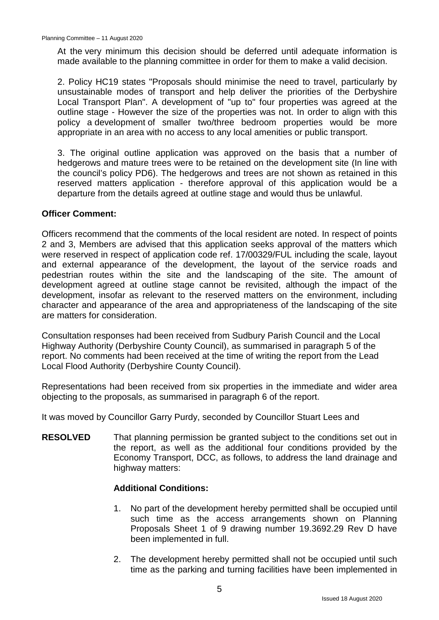At the very minimum this decision should be deferred until adequate information is made available to the planning committee in order for them to make a valid decision.

2. Policy HC19 states "Proposals should minimise the need to travel, particularly by unsustainable modes of transport and help deliver the priorities of the Derbyshire Local Transport Plan". A development of "up to" four properties was agreed at the outline stage - However the size of the properties was not. In order to align with this policy a development of smaller two/three bedroom properties would be more appropriate in an area with no access to any local amenities or public transport.

3. The original outline application was approved on the basis that a number of hedgerows and mature trees were to be retained on the development site (In line with the council's policy PD6). The hedgerows and trees are not shown as retained in this reserved matters application - therefore approval of this application would be a departure from the details agreed at outline stage and would thus be unlawful.

### **Officer Comment:**

Officers recommend that the comments of the local resident are noted. In respect of points 2 and 3, Members are advised that this application seeks approval of the matters which were reserved in respect of application code ref. 17/00329/FUL including the scale, layout and external appearance of the development, the layout of the service roads and pedestrian routes within the site and the landscaping of the site. The amount of development agreed at outline stage cannot be revisited, although the impact of the development, insofar as relevant to the reserved matters on the environment, including character and appearance of the area and appropriateness of the landscaping of the site are matters for consideration.

Consultation responses had been received from Sudbury Parish Council and the Local Highway Authority (Derbyshire County Council), as summarised in paragraph 5 of the report. No comments had been received at the time of writing the report from the Lead Local Flood Authority (Derbyshire County Council).

Representations had been received from six properties in the immediate and wider area objecting to the proposals, as summarised in paragraph 6 of the report.

It was moved by Councillor Garry Purdy, seconded by Councillor Stuart Lees and

**RESOLVED** That planning permission be granted subject to the conditions set out in the report, as well as the additional four conditions provided by the Economy Transport, DCC, as follows, to address the land drainage and highway matters:

## **Additional Conditions:**

- 1. No part of the development hereby permitted shall be occupied until such time as the access arrangements shown on Planning Proposals Sheet 1 of 9 drawing number 19.3692.29 Rev D have been implemented in full.
- 2. The development hereby permitted shall not be occupied until such time as the parking and turning facilities have been implemented in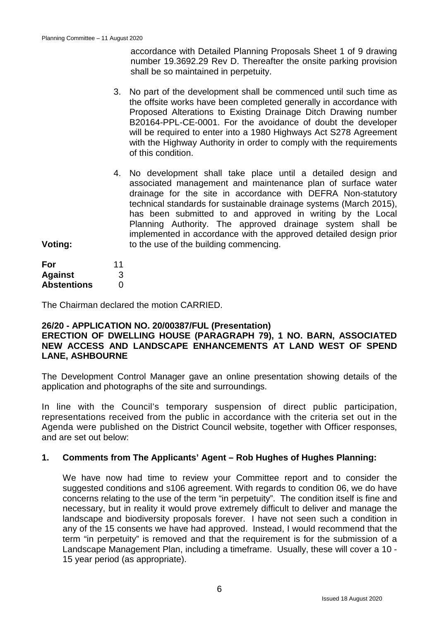accordance with Detailed Planning Proposals Sheet 1 of 9 drawing number 19.3692.29 Rev D. Thereafter the onsite parking provision shall be so maintained in perpetuity.

- 3. No part of the development shall be commenced until such time as the offsite works have been completed generally in accordance with Proposed Alterations to Existing Drainage Ditch Drawing number B20164-PPL-CE-0001. For the avoidance of doubt the developer will be required to enter into a 1980 Highways Act S278 Agreement with the Highway Authority in order to comply with the requirements of this condition.
- 4. No development shall take place until a detailed design and associated management and maintenance plan of surface water drainage for the site in accordance with DEFRA Non-statutory technical standards for sustainable drainage systems (March 2015), has been submitted to and approved in writing by the Local Planning Authority. The approved drainage system shall be implemented in accordance with the approved detailed design prior to the use of the building commencing.

**Voting:**

| For                | 11 |
|--------------------|----|
| <b>Against</b>     | 3  |
| <b>Abstentions</b> | O  |

The Chairman declared the motion CARRIED.

## **26/20 - APPLICATION NO. 20/00387/FUL (Presentation)**

## **ERECTION OF DWELLING HOUSE (PARAGRAPH 79), 1 NO. BARN, ASSOCIATED NEW ACCESS AND LANDSCAPE ENHANCEMENTS AT LAND WEST OF SPEND LANE, ASHBOURNE**

The Development Control Manager gave an online presentation showing details of the application and photographs of the site and surroundings.

In line with the Council's temporary suspension of direct public participation, representations received from the public in accordance with the criteria set out in the Agenda were published on the District Council website, together with Officer responses, and are set out below:

#### **1. Comments from The Applicants' Agent – Rob Hughes of Hughes Planning:**

We have now had time to review your Committee report and to consider the suggested conditions and s106 agreement. With regards to condition 06, we do have concerns relating to the use of the term "in perpetuity". The condition itself is fine and necessary, but in reality it would prove extremely difficult to deliver and manage the landscape and biodiversity proposals forever. I have not seen such a condition in any of the 15 consents we have had approved. Instead, I would recommend that the term "in perpetuity" is removed and that the requirement is for the submission of a Landscape Management Plan, including a timeframe. Usually, these will cover a 10 - 15 year period (as appropriate).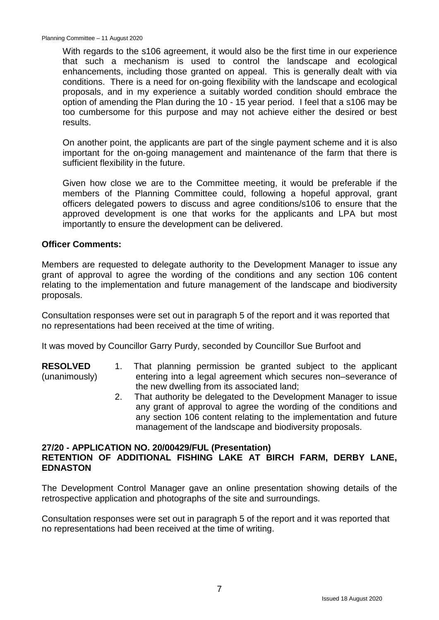Planning Committee – 11 August 2020

With regards to the s106 agreement, it would also be the first time in our experience that such a mechanism is used to control the landscape and ecological enhancements, including those granted on appeal. This is generally dealt with via conditions. There is a need for on-going flexibility with the landscape and ecological proposals, and in my experience a suitably worded condition should embrace the option of amending the Plan during the 10 - 15 year period. I feel that a s106 may be too cumbersome for this purpose and may not achieve either the desired or best results.

On another point, the applicants are part of the single payment scheme and it is also important for the on-going management and maintenance of the farm that there is sufficient flexibility in the future.

Given how close we are to the Committee meeting, it would be preferable if the members of the Planning Committee could, following a hopeful approval, grant officers delegated powers to discuss and agree conditions/s106 to ensure that the approved development is one that works for the applicants and LPA but most importantly to ensure the development can be delivered.

### **Officer Comments:**

Members are requested to delegate authority to the Development Manager to issue any grant of approval to agree the wording of the conditions and any section 106 content relating to the implementation and future management of the landscape and biodiversity proposals.

Consultation responses were set out in paragraph 5 of the report and it was reported that no representations had been received at the time of writing.

It was moved by Councillor Garry Purdy, seconded by Councillor Sue Burfoot and

- **RESOLVED** (unanimously) 1. That planning permission be granted subject to the applicant entering into a legal agreement which secures non–severance of the new dwelling from its associated land;
	- 2. That authority be delegated to the Development Manager to issue any grant of approval to agree the wording of the conditions and any section 106 content relating to the implementation and future management of the landscape and biodiversity proposals.

### **27/20 - APPLICATION NO. 20/00429/FUL (Presentation) RETENTION OF ADDITIONAL FISHING LAKE AT BIRCH FARM, DERBY LANE, EDNASTON**

The Development Control Manager gave an online presentation showing details of the retrospective application and photographs of the site and surroundings.

Consultation responses were set out in paragraph 5 of the report and it was reported that no representations had been received at the time of writing.